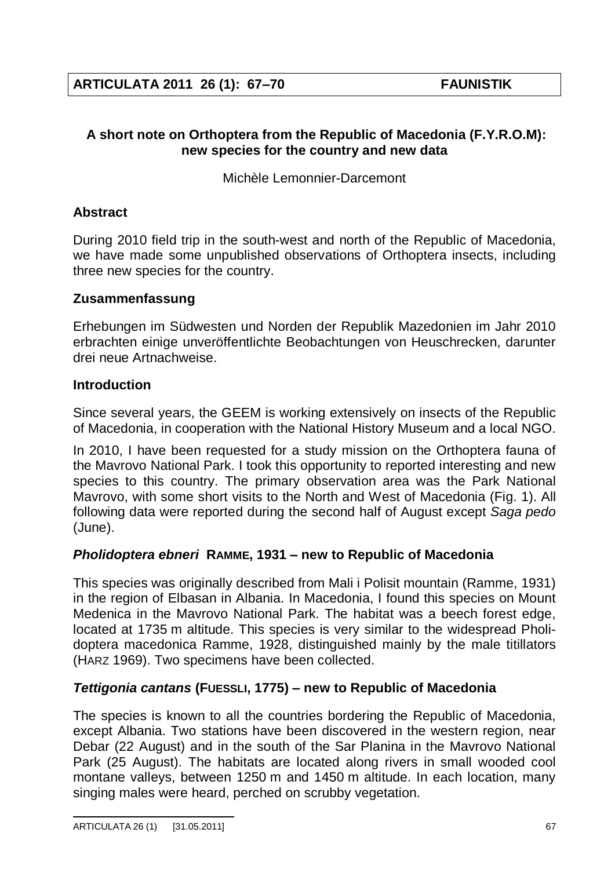## **A short note on Orthoptera from the Republic of Macedonia (F.Y.R.O.M): new species for the country and new data**

Michèle Lemonnier-Darcemont

# **Abstract**

During 2010 field trip in the south-west and north of the Republic of Macedonia, we have made some unpublished observations of Orthoptera insects, including three new species for the country.

# **Zusammenfassung**

Erhebungen im Südwesten und Norden der Republik Mazedonien im Jahr 2010 erbrachten einige unveröffentlichte Beobachtungen von Heuschrecken, darunter drei neue Artnachweise.

# **Introduction**

Since several years, the GEEM is working extensively on insects of the Republic of Macedonia, in cooperation with the National History Museum and a local NGO.

In 2010, I have been requested for a study mission on the Orthoptera fauna of the Mavrovo National Park. I took this opportunity to reported interesting and new species to this country. The primary observation area was the Park National Mavrovo, with some short visits to the North and West of Macedonia (Fig. 1). All following data were reported during the second half of August except *Saga pedo* (June).

# *Pholidoptera ebneri* **RAMME, 1931 new to Republic of Macedonia**

This species was originally described from Mali i Polisit mountain (Ramme, 1931) in the region of Elbasan in Albania. In Macedonia, I found this species on Mount Medenica in the Mavrovo National Park. The habitat was a beech forest edge, located at 1735 m altitude. This species is very similar to the widespread Pholidoptera macedonica Ramme, 1928, distinguished mainly by the male titillators (HARZ 1969). Two specimens have been collected.

# *Tettigonia cantans* **(FUESSLI, 1775) new to Republic of Macedonia**

The species is known to all the countries bordering the Republic of Macedonia, except Albania. Two stations have been discovered in the western region, near Debar (22 August) and in the south of the Sar Planina in the Mavrovo National Park (25 August). The habitats are located along rivers in small wooded cool montane valleys, between 1250 m and 1450 m altitude. In each location, many singing males were heard, perched on scrubby vegetation.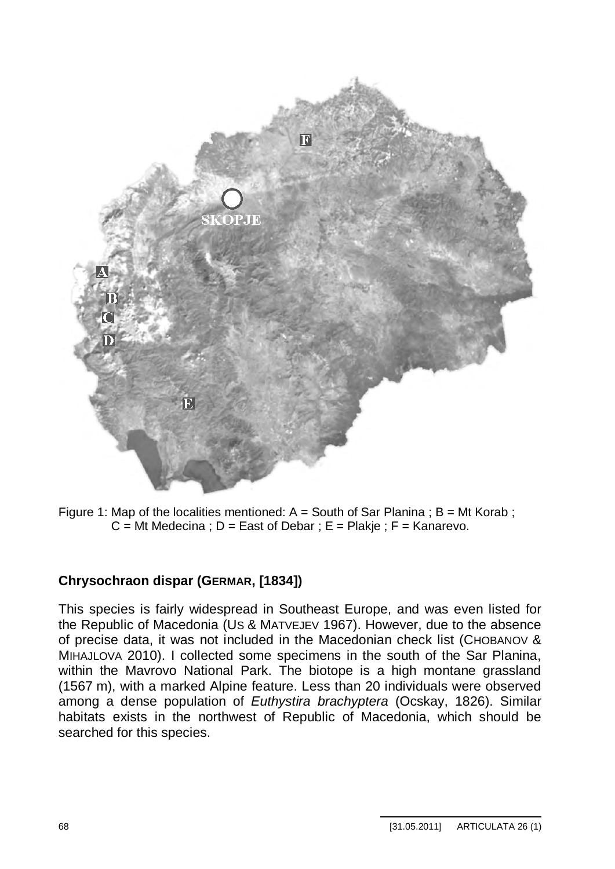

Figure 1: Map of the localities mentioned:  $A =$  South of Sar Planina ;  $B = Mt$  Korab ;  $C = Mt$  Medecina :  $D = East$  of Debar :  $E = Plakie$  :  $F = Kanarevo$ .

## **Chrysochraon dispar (GERMAR, [1834])**

This species is fairly widespread in Southeast Europe, and was even listed for the Republic of Macedonia (US & MATVEJEV 1967). However, due to the absence of precise data, it was not included in the Macedonian check list (CHOBANOV & MIHAJLOVA 2010). I collected some specimens in the south of the Sar Planina, within the Mavrovo National Park. The biotope is a high montane grassland (1567 m), with a marked Alpine feature. Less than 20 individuals were observed among a dense population of *Euthystira brachyptera* (Ocskay, 1826). Similar habitats exists in the northwest of Republic of Macedonia, which should be searched for this species.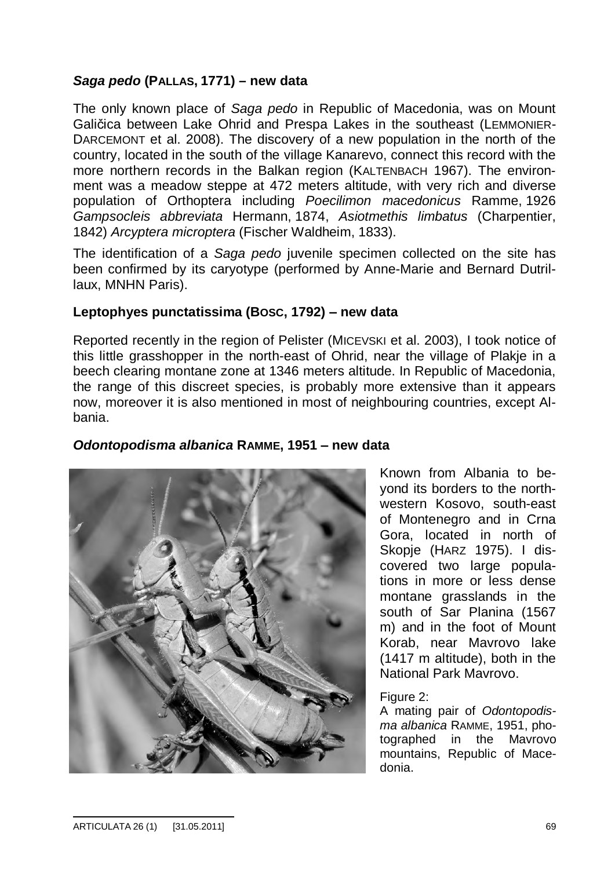## *Saga pedo* **(PALLAS, 1771) – new data**

The only known place of *Saga pedo* in Republic of Macedonia, was on Mount Galičica between Lake Ohrid and Prespa Lakes in the southeast (LEMMONIER-DARCEMONT et al. 2008). The discovery of a new population in the north of the country, located in the south of the village Kanarevo, connect this record with the more northern records in the Balkan region (KALTENBACH 1967). The environment was a meadow steppe at 472 meters altitude, with very rich and diverse population of Orthoptera including *Poecilimon macedonicus* Ramme, 1926 *Gampsocleis abbreviata* Hermann, 1874, *Asiotmethis limbatus* (Charpentier, 1842) *Arcyptera microptera* (Fischer Waldheim, 1833).

The identification of a *Saga pedo* juvenile specimen collected on the site has been confirmed by its caryotype (performed by Anne-Marie and Bernard Dutrillaux, MNHN Paris).

### **Leptophyes punctatissima (BOSC, 1792) new data**

Reported recently in the region of Pelister (MICEVSKI et al. 2003), I took notice of this little grasshopper in the north-east of Ohrid, near the village of Plakje in a beech clearing montane zone at 1346 meters altitude. In Republic of Macedonia, the range of this discreet species, is probably more extensive than it appears now, moreover it is also mentioned in most of neighbouring countries, except Albania.



## *Odontopodisma albanica* **RAMME, 1951 new data**

Known from Albania to beyond its borders to the northwestern Kosovo, south-east of Montenegro and in Crna Gora, located in north of Skopje (HARZ 1975). I discovered two large populations in more or less dense montane grasslands in the south of Sar Planina (1567 m) and in the foot of Mount Korab, near Mavrovo lake (1417 m altitude), both in the National Park Mavrovo.

### Figure 2:

A mating pair of *Odontopodisma albanica* RAMME, 1951, photographed in the Mavrovo mountains, Republic of Macedonia.